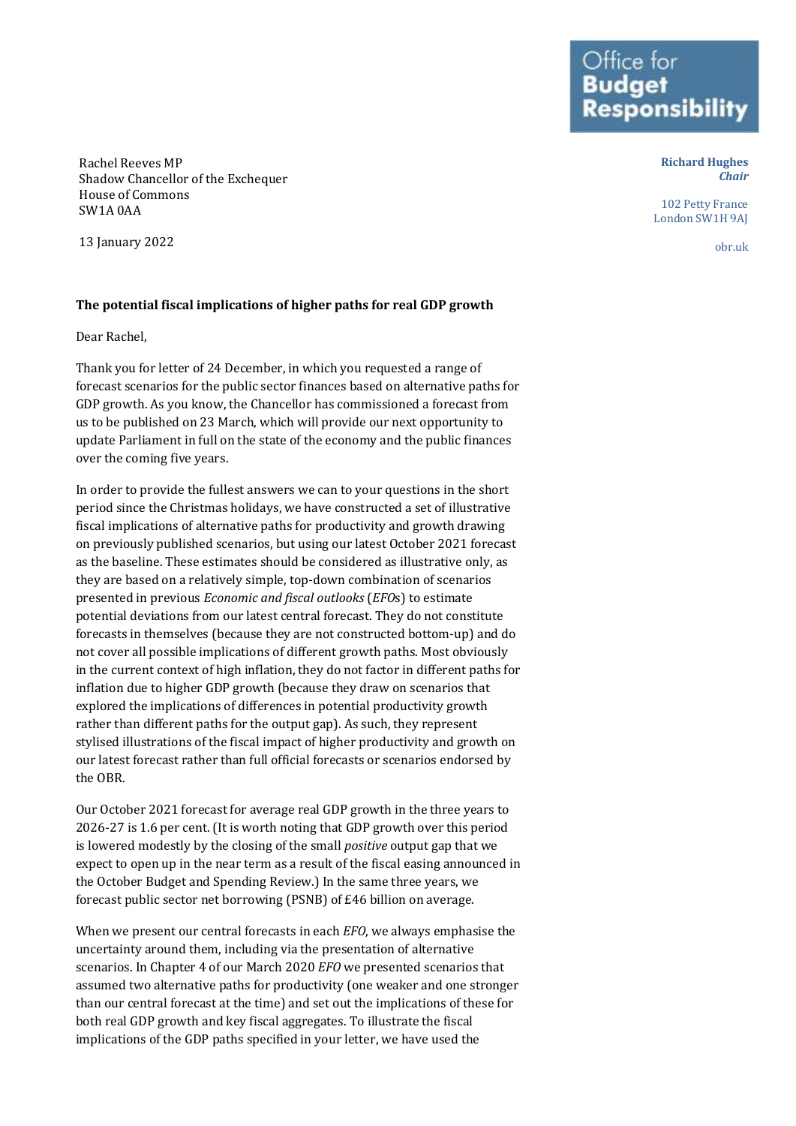Rachel Reeves MP Shadow Chancellor of the Exchequer House of Commons SW1A 0AA

13 January 2022

## **The potential fiscal implications of higher paths for real GDP growth**

Dear Rachel,

Thank you for letter of 24 December, in which you requested a range of forecast scenarios for the public sector finances based on alternative paths for GDP growth. As you know, the Chancellor has commissioned a forecast from us to be published on 23 March, which will provide our next opportunity to update Parliament in full on the state of the economy and the public finances over the coming five years.

In order to provide the fullest answers we can to your questions in the short period since the Christmas holidays, we have constructed a set of illustrative fiscal implications of alternative paths for productivity and growth drawing on previously published scenarios, but using our latest October 2021 forecast as the baseline. These estimates should be considered as illustrative only, as they are based on a relatively simple, top-down combination of scenarios presented in previous *Economic and fiscal outlooks* (*EFO*s) to estimate potential deviations from our latest central forecast. They do not constitute forecasts in themselves (because they are not constructed bottom-up) and do not cover all possible implications of different growth paths. Most obviously in the current context of high inflation, they do not factor in different paths for inflation due to higher GDP growth (because they draw on scenarios that explored the implications of differences in potential productivity growth rather than different paths for the output gap). As such, they represent stylised illustrations of the fiscal impact of higher productivity and growth on our latest forecast rather than full official forecasts or scenarios endorsed by the OBR.

Our October 2021 forecast for average real GDP growth in the three years to 2026-27 is 1.6 per cent. (It is worth noting that GDP growth over this period is lowered modestly by the closing of the small *positive* output gap that we expect to open up in the near term as a result of the fiscal easing announced in the October Budget and Spending Review.) In the same three years, we forecast public sector net borrowing (PSNB) of £46 billion on average.

When we present our central forecasts in each *EFO*, we always emphasise the uncertainty around them, including via the presentation of alternative scenarios. In Chapter 4 of our March 2020 *EFO* we presented scenarios that assumed two alternative paths for productivity (one weaker and one stronger than our central forecast at the time) and set out the implications of these for both real GDP growth and key fiscal aggregates. To illustrate the fiscal implications of the GDP paths specified in your letter, we have used the

Office for<br>**Budget** esponsibility

> **Richard Hughes** *Chair*

102 Petty France London SW1H 9AJ

obr.uk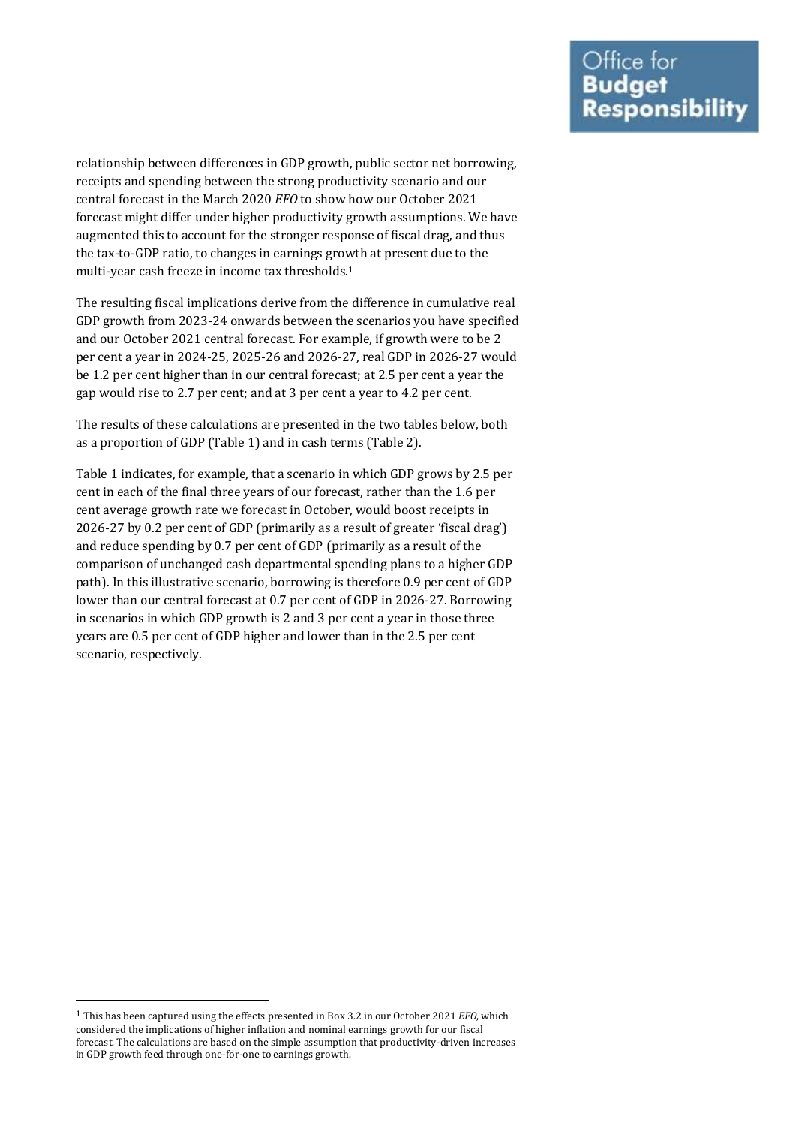relationship between differences in GDP growth, public sector net borrowing, receipts and spending between the strong productivity scenario and our central forecast in the March 2020 *EFO* to show how our October 2021 forecast might differ under higher productivity growth assumptions. We have augmented this to account for the stronger response of fiscal drag, and thus the tax-to-GDP ratio, to changes in earnings growth at present due to the multi-year cash freeze in income tax thresholds.<sup>1</sup>

The resulting fiscal implications derive from the difference in cumulative real GDP growth from 2023-24 onwards between the scenarios you have specified and our October 2021 central forecast. For example, if growth were to be 2 per cent a year in 2024-25, 2025-26 and 2026-27, real GDP in 2026-27 would be 1.2 per cent higher than in our central forecast; at 2.5 per cent a year the gap would rise to 2.7 per cent; and at 3 per cent a year to 4.2 per cent.

The results of these calculations are presented in the two tables below, both as a proportion of GDP (Table 1) and in cash terms (Table 2).

Table 1 indicates, for example, that a scenario in which GDP grows by 2.5 per cent in each of the final three years of our forecast, rather than the 1.6 per cent average growth rate we forecast in October, would boost receipts in 2026-27 by 0.2 per cent of GDP (primarily as a result of greater 'fiscal drag') and reduce spending by 0.7 per cent of GDP (primarily as a result of the comparison of unchanged cash departmental spending plans to a higher GDP path). In this illustrative scenario, borrowing is therefore 0.9 per cent of GDP lower than our central forecast at 0.7 per cent of GDP in 2026-27. Borrowing in scenarios in which GDP growth is 2 and 3 per cent a year in those three years are 0.5 per cent of GDP higher and lower than in the 2.5 per cent scenario, respectively.

<sup>1</sup> This has been captured using the effects presented in Box 3.2 in our October 2021 *EFO*, which considered the implications of higher inflation and nominal earnings growth for our fiscal forecast. The calculations are based on the simple assumption that productivity-driven increases in GDP growth feed through one-for-one to earnings growth.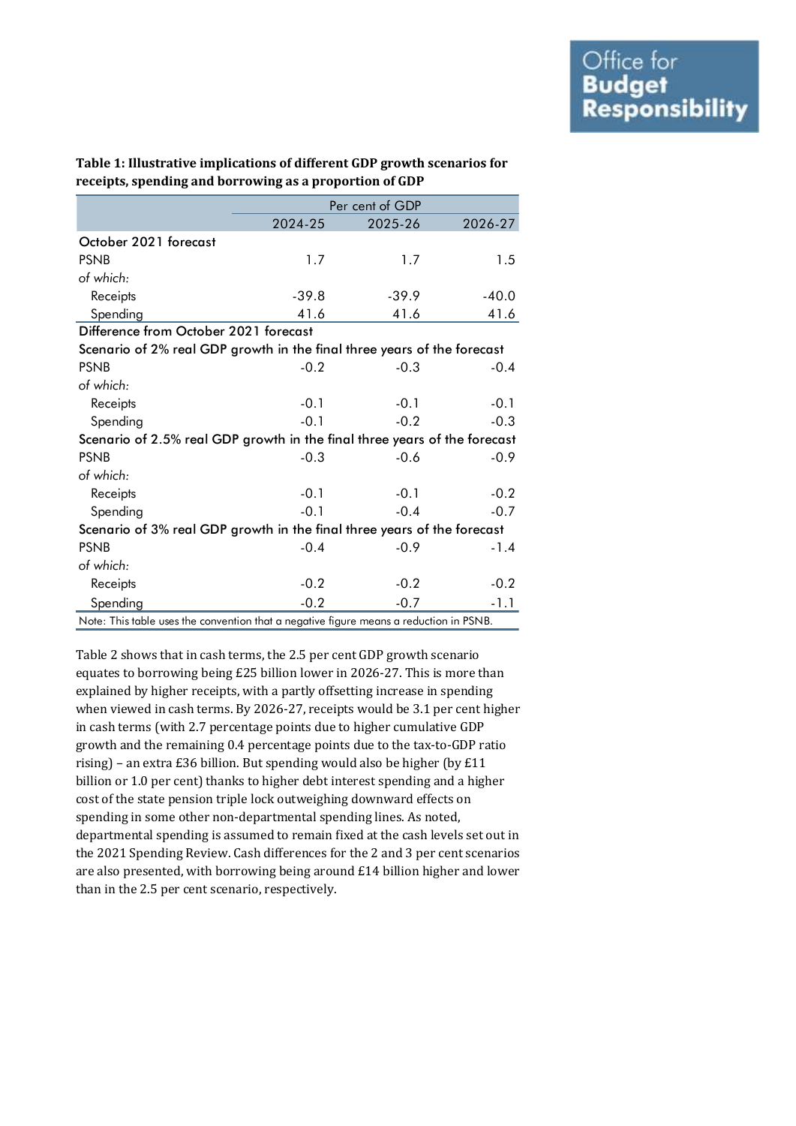## **Table 1: Illustrative implications of different GDP growth scenarios for receipts, spending and borrowing as a proportion of GDP**

|                                                                                        | Per cent of GDP |         |         |  |
|----------------------------------------------------------------------------------------|-----------------|---------|---------|--|
|                                                                                        | 2024-25         | 2025-26 | 2026-27 |  |
| October 2021 forecast                                                                  |                 |         |         |  |
| <b>PSNB</b>                                                                            | 1.7             | 1.7     | 1.5     |  |
| of which:                                                                              |                 |         |         |  |
| Receipts                                                                               | $-39.8$         | $-39.9$ | $-40.0$ |  |
| Spending                                                                               | 41.6            | 41.6    | 41.6    |  |
| Difference from October 2021 forecast                                                  |                 |         |         |  |
| Scenario of 2% real GDP growth in the final three years of the forecast                |                 |         |         |  |
| <b>PSNB</b>                                                                            | $-0.2$          | $-0.3$  | $-0.4$  |  |
| of which:                                                                              |                 |         |         |  |
| Receipts                                                                               | $-0.1$          | $-0.1$  | $-0.1$  |  |
| Spending                                                                               | $-0.1$          | $-0.2$  | $-0.3$  |  |
| Scenario of 2.5% real GDP growth in the final three years of the forecast              |                 |         |         |  |
| <b>PSNB</b>                                                                            | $-0.3$          | $-0.6$  | $-0.9$  |  |
| of which:                                                                              |                 |         |         |  |
| Receipts                                                                               | $-0.1$          | $-0.1$  | $-0.2$  |  |
| Spending                                                                               | $-0.1$          | $-0.4$  | $-0.7$  |  |
| Scenario of 3% real GDP growth in the final three years of the forecast                |                 |         |         |  |
| <b>PSNB</b>                                                                            | $-0.4$          | $-0.9$  | $-1.4$  |  |
| of which:                                                                              |                 |         |         |  |
| Receipts                                                                               | $-0.2$          | $-0.2$  | $-0.2$  |  |
| Spending                                                                               | $-0.2$          | $-0.7$  | $-1.1$  |  |
| Note: This table uses the convention that a negative figure means a reduction in PSNB. |                 |         |         |  |

Table 2 shows that in cash terms, the 2.5 per cent GDP growth scenario equates to borrowing being £25 billion lower in 2026-27. This is more than explained by higher receipts, with a partly offsetting increase in spending when viewed in cash terms. By 2026-27, receipts would be 3.1 per cent higher in cash terms (with 2.7 percentage points due to higher cumulative GDP growth and the remaining 0.4 percentage points due to the tax-to-GDP ratio rising) – an extra £36 billion. But spending would also be higher (by £11 billion or 1.0 per cent) thanks to higher debt interest spending and a higher cost of the state pension triple lock outweighing downward effects on spending in some other non-departmental spending lines. As noted, departmental spending is assumed to remain fixed at the cash levels set out in the 2021 Spending Review. Cash differences for the 2 and 3 per cent scenarios are also presented, with borrowing being around £14 billion higher and lower than in the 2.5 per cent scenario, respectively.